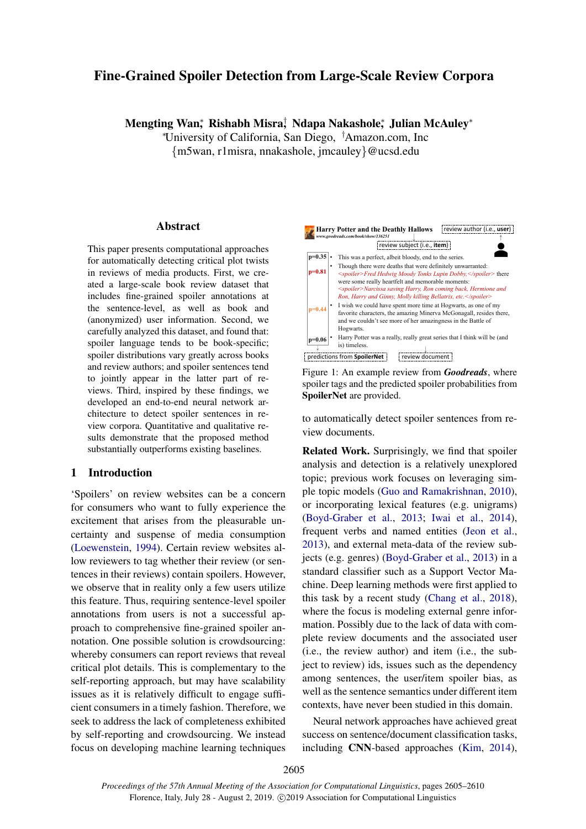# <span id="page-0-0"></span>Fine-Grained Spoiler Detection from Large-Scale Review Corpora

Mengting Wan‡ Rishabh Misra‡ Ndapa Nakashole‡ Julian McAuley\*

<sup>∗</sup>University of California, San Diego, †Amazon.com, Inc {m5wan, r1misra, nnakashole, jmcauley}@ucsd.edu

#### Abstract

This paper presents computational approaches for automatically detecting critical plot twists in reviews of media products. First, we created a large-scale book review dataset that includes fine-grained spoiler annotations at the sentence-level, as well as book and (anonymized) user information. Second, we carefully analyzed this dataset, and found that: spoiler language tends to be book-specific; spoiler distributions vary greatly across books and review authors; and spoiler sentences tend to jointly appear in the latter part of reviews. Third, inspired by these findings, we developed an end-to-end neural network architecture to detect spoiler sentences in review corpora. Quantitative and qualitative results demonstrate that the proposed method substantially outperforms existing baselines.

## 1 Introduction

'Spoilers' on review websites can be a concern for consumers who want to fully experience the excitement that arises from the pleasurable uncertainty and suspense of media consumption [\(Loewenstein,](#page-5-0) [1994\)](#page-5-0). Certain review websites allow reviewers to tag whether their review (or sentences in their reviews) contain spoilers. However, we observe that in reality only a few users utilize this feature. Thus, requiring sentence-level spoiler annotations from users is not a successful approach to comprehensive fine-grained spoiler annotation. One possible solution is crowdsourcing: whereby consumers can report reviews that reveal critical plot details. This is complementary to the self-reporting approach, but may have scalability issues as it is relatively difficult to engage sufficient consumers in a timely fashion. Therefore, we seek to address the lack of completeness exhibited by self-reporting and crowdsourcing. We instead focus on developing machine learning techniques



Figure 1: An example review from *Goodreads*, where spoiler tags and the predicted spoiler probabilities from SpoilerNet are provided.

to automatically detect spoiler sentences from review documents.

Related Work. Surprisingly, we find that spoiler analysis and detection is a relatively unexplored topic; previous work focuses on leveraging simple topic models [\(Guo and Ramakrishnan,](#page-5-1) [2010\)](#page-5-1), or incorporating lexical features (e.g. unigrams) [\(Boyd-Graber et al.,](#page-5-2) [2013;](#page-5-2) [Iwai et al.,](#page-5-3) [2014\)](#page-5-3), frequent verbs and named entities [\(Jeon et al.,](#page-5-4) [2013\)](#page-5-4), and external meta-data of the review subjects (e.g. genres) [\(Boyd-Graber et al.,](#page-5-2) [2013\)](#page-5-2) in a standard classifier such as a Support Vector Machine. Deep learning methods were first applied to this task by a recent study [\(Chang et al.,](#page-5-5) [2018\)](#page-5-5), where the focus is modeling external genre information. Possibly due to the lack of data with complete review documents and the associated user (i.e., the review author) and item (i.e., the subject to review) ids, issues such as the dependency among sentences, the user/item spoiler bias, as well as the sentence semantics under different item contexts, have never been studied in this domain.

Neural network approaches have achieved great success on sentence/document classification tasks, including CNN-based approaches [\(Kim,](#page-5-6) [2014\)](#page-5-6),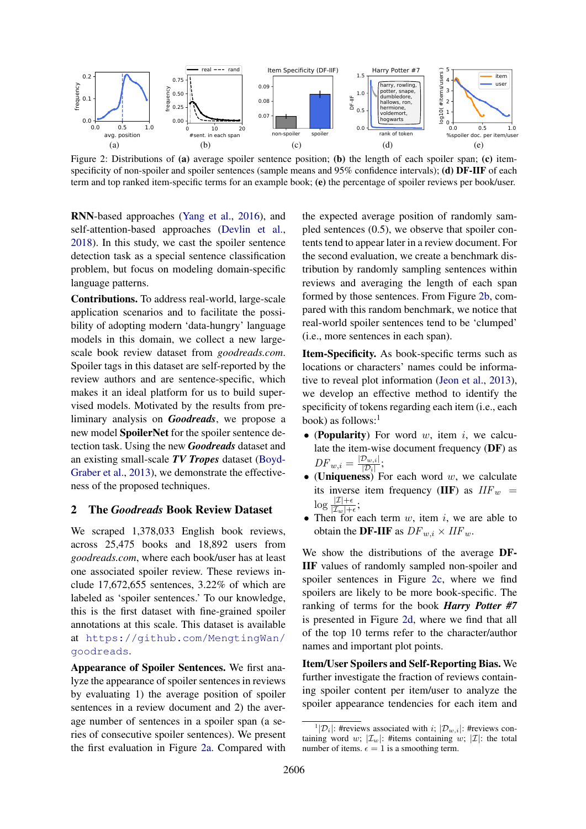<span id="page-1-0"></span>

Figure 2: Distributions of (a) average spoiler sentence position; (b) the length of each spoiler span; (c) itemspecificity of non-spoiler and spoiler sentences (sample means and 95% confidence intervals); (d) DF-IIF of each term and top ranked item-specific terms for an example book; (e) the percentage of spoiler reviews per book/user.

RNN-based approaches [\(Yang et al.,](#page-5-7) [2016\)](#page-5-7), and self-attention-based approaches [\(Devlin et al.,](#page-5-8) [2018\)](#page-5-8). In this study, we cast the spoiler sentence detection task as a special sentence classification problem, but focus on modeling domain-specific language patterns.

Contributions. To address real-world, large-scale application scenarios and to facilitate the possibility of adopting modern 'data-hungry' language models in this domain, we collect a new largescale book review dataset from *goodreads.com*. Spoiler tags in this dataset are self-reported by the review authors and are sentence-specific, which makes it an ideal platform for us to build supervised models. Motivated by the results from preliminary analysis on *Goodreads*, we propose a new model **SpoilerNet** for the spoiler sentence detection task. Using the new *Goodreads* dataset and an existing small-scale *TV Tropes* dataset [\(Boyd-](#page-5-2)[Graber et al.,](#page-5-2) [2013\)](#page-5-2), we demonstrate the effectiveness of the proposed techniques.

### 2 The *Goodreads* Book Review Dataset

We scraped  $1,378,033$  English book reviews, across 25,475 books and 18,892 users from *goodreads.com*, where each book/user has at least one associated spoiler review. These reviews include 17,672,655 sentences, 3.22% of which are labeled as 'spoiler sentences.' To our knowledge, this is the first dataset with fine-grained spoiler annotations at this scale. This dataset is available at [https://github.com/MengtingWan/](https://github.com/MengtingWan/goodreads) [goodreads](https://github.com/MengtingWan/goodreads).

Appearance of Spoiler Sentences. We first analyze the appearance of spoiler sentences in reviews by evaluating 1) the average position of spoiler sentences in a review document and 2) the average number of sentences in a spoiler span (a series of consecutive spoiler sentences). We present the first evaluation in Figure [2a.](#page-1-0) Compared with the expected average position of randomly sampled sentences (0.5), we observe that spoiler contents tend to appear later in a review document. For the second evaluation, we create a benchmark distribution by randomly sampling sentences within reviews and averaging the length of each span formed by those sentences. From Figure [2b,](#page-1-0) compared with this random benchmark, we notice that real-world spoiler sentences tend to be 'clumped' (i.e., more sentences in each span).

Item-Specificity. As book-specific terms such as locations or characters' names could be informative to reveal plot information [\(Jeon et al.,](#page-5-4) [2013\)](#page-5-4), we develop an effective method to identify the specificity of tokens regarding each item (i.e., each book) as follows: $<sup>1</sup>$  $<sup>1</sup>$  $<sup>1</sup>$ </sup>

- (Popularity) For word  $w$ , item  $i$ , we calculate the item-wise document frequency  $(DF)$  as  $DF_{w,i} = \frac{|\mathcal{D}_{w,i}|}{|\mathcal{D}_i|}$  $\frac{\nu_{w,i|}}{|\mathcal{D}_i|};$
- (Uniqueness) For each word  $w$ , we calculate its inverse item frequency (IIF) as  $IIF_w$  =  $\log \frac{|\mathcal{I}|+\epsilon}{|\mathcal{I}_w|+\epsilon};$
- Then for each term  $w$ , item  $i$ , we are able to obtain the **DF-IIF** as  $DF_{w,i} \times IIF_w$ .

We show the distributions of the average DF-IIF values of randomly sampled non-spoiler and spoiler sentences in Figure [2c,](#page-1-0) where we find spoilers are likely to be more book-specific. The ranking of terms for the book *Harry Potter #7* is presented in Figure [2d,](#page-1-0) where we find that all of the top 10 terms refer to the character/author names and important plot points.

Item/User Spoilers and Self-Reporting Bias. We further investigate the fraction of reviews containing spoiler content per item/user to analyze the spoiler appearance tendencies for each item and

<sup>&</sup>lt;sup>1</sup>| $\mathcal{D}_i$ |: #reviews associated with *i*;  $|\mathcal{D}_{w,i}|$ : #reviews containing word w;  $|\mathcal{I}_w|$ : #items containing w;  $|\mathcal{I}|$ : the total number of items.  $\epsilon = 1$  is a smoothing term.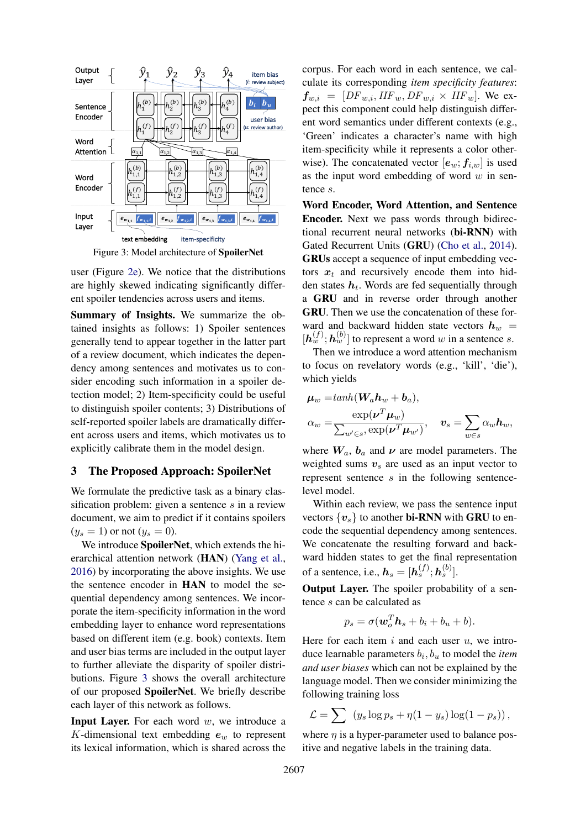<span id="page-2-0"></span>

Figure 3: Model architecture of SpoilerNet

user (Figure [2e\)](#page-1-0). We notice that the distributions are highly skewed indicating significantly different spoiler tendencies across users and items.

Summary of Insights. We summarize the obtained insights as follows: 1) Spoiler sentences generally tend to appear together in the latter part of a review document, which indicates the dependency among sentences and motivates us to consider encoding such information in a spoiler detection model; 2) Item-specificity could be useful to distinguish spoiler contents; 3) Distributions of self-reported spoiler labels are dramatically different across users and items, which motivates us to explicitly calibrate them in the model design.

# 3 The Proposed Approach: SpoilerNet

We formulate the predictive task as a binary classification problem: given a sentence s in a review document, we aim to predict if it contains spoilers  $(y_s = 1)$  or not  $(y_s = 0)$ .

We introduce SpoilerNet, which extends the hierarchical attention network (HAN) [\(Yang et al.,](#page-5-7) [2016\)](#page-5-7) by incorporating the above insights. We use the sentence encoder in HAN to model the sequential dependency among sentences. We incorporate the item-specificity information in the word embedding layer to enhance word representations based on different item (e.g. book) contexts. Item and user bias terms are included in the output layer to further alleviate the disparity of spoiler distributions. Figure [3](#page-2-0) shows the overall architecture of our proposed SpoilerNet. We briefly describe each layer of this network as follows.

**Input Layer.** For each word  $w$ , we introduce a K-dimensional text embedding  $e_w$  to represent its lexical information, which is shared across the

corpus. For each word in each sentence, we calculate its corresponding *item specificity features*:  $f_{w,i} = [DF_{w,i}, IIF_w, DF_{w,i} \times IIF_w]$ . We expect this component could help distinguish different word semantics under different contexts (e.g., 'Green' indicates a character's name with high item-specificity while it represents a color otherwise). The concatenated vector  $[e_w; f_{i,w}]$  is used as the input word embedding of word  $w$  in sentence s.

Word Encoder, Word Attention, and Sentence Encoder. Next we pass words through bidirectional recurrent neural networks (bi-RNN) with Gated Recurrent Units (GRU) [\(Cho et al.,](#page-5-9) [2014\)](#page-5-9). GRUs accept a sequence of input embedding vectors  $x_t$  and recursively encode them into hidden states  $h_t$ . Words are fed sequentially through a GRU and in reverse order through another GRU. Then we use the concatenation of these forward and backward hidden state vectors  $h_w$  =  $[h_w^{(f)}; h_w^{(b)}]$  to represent a word w in a sentence s.

Then we introduce a word attention mechanism to focus on revelatory words (e.g., 'kill', 'die'), which yields

$$
\mu_w = \tanh(W_a \mathbf{h}_w + \mathbf{b}_a),
$$
  
\n
$$
\alpha_w = \frac{\exp(\boldsymbol{\nu}^T \boldsymbol{\mu}_w)}{\sum_{w' \in s} \exp(\boldsymbol{\nu}^T \boldsymbol{\mu}_{w'})}, \quad \mathbf{v}_s = \sum_{w \in s} \alpha_w \mathbf{h}_w,
$$

where  $W_a$ ,  $b_a$  and  $\nu$  are model parameters. The weighted sums  $v_s$  are used as an input vector to represent sentence s in the following sentencelevel model.

Within each review, we pass the sentence input vectors  $\{v_s\}$  to another **bi-RNN** with **GRU** to encode the sequential dependency among sentences. We concatenate the resulting forward and backward hidden states to get the final representation of a sentence, i.e.,  $h_s = [h_s^{(f)}; h_s^{(b)}]$ .

Output Layer. The spoiler probability of a sentence s can be calculated as

$$
p_s = \sigma(\boldsymbol{w}_o^T \boldsymbol{h}_s + b_i + b_u + b).
$$

Here for each item  $i$  and each user  $u$ , we introduce learnable parameters  $b_i$ ,  $b_u$  to model the *item and user biases* which can not be explained by the language model. Then we consider minimizing the following training loss

$$
\mathcal{L} = \sum (y_s \log p_s + \eta (1 - y_s) \log (1 - p_s)),
$$

where  $\eta$  is a hyper-parameter used to balance positive and negative labels in the training data.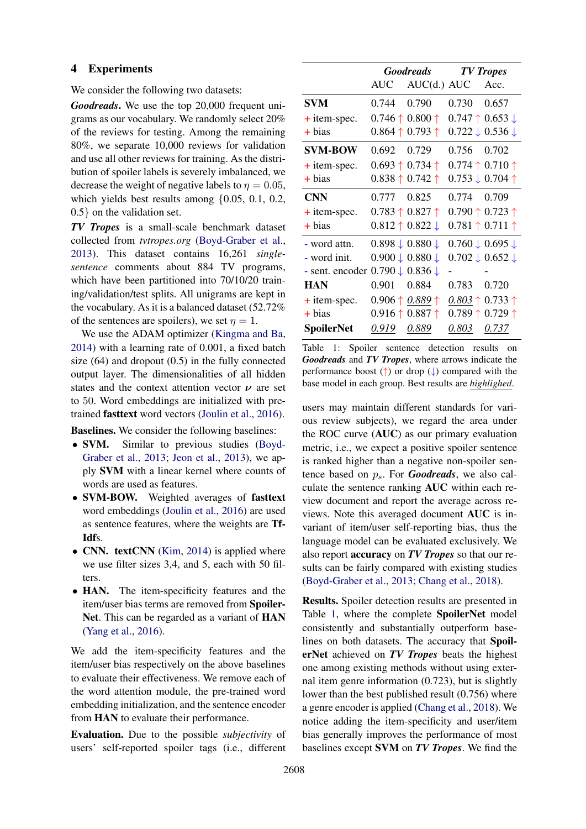### 4 Experiments

We consider the following two datasets:

*Goodreads*. We use the top 20,000 frequent unigrams as our vocabulary. We randomly select 20% of the reviews for testing. Among the remaining 80%, we separate 10,000 reviews for validation and use all other reviews for training. As the distribution of spoiler labels is severely imbalanced, we decrease the weight of negative labels to  $\eta = 0.05$ , which yields best results among  $\{0.05, 0.1, 0.2,$ 0.5} on the validation set.

*TV Tropes* is a small-scale benchmark dataset collected from *tvtropes.org* [\(Boyd-Graber et al.,](#page-5-2) [2013\)](#page-5-2). This dataset contains 16,261 *singlesentence* comments about 884 TV programs, which have been partitioned into 70/10/20 training/validation/test splits. All unigrams are kept in the vocabulary. As it is a balanced dataset (52.72% of the sentences are spoilers), we set  $\eta = 1$ .

We use the ADAM optimizer [\(Kingma and Ba,](#page-5-10) [2014\)](#page-5-10) with a learning rate of 0.001, a fixed batch size (64) and dropout (0.5) in the fully connected output layer. The dimensionalities of all hidden states and the context attention vector  $\nu$  are set to 50. Word embeddings are initialized with pretrained fasttext word vectors [\(Joulin et al.,](#page-5-11) [2016\)](#page-5-11).

Baselines. We consider the following baselines:

- **SVM.** Similar to previous studies [\(Boyd-](#page-5-2)[Graber et al.,](#page-5-2) [2013;](#page-5-2) [Jeon et al.,](#page-5-4) [2013\)](#page-5-4), we apply SVM with a linear kernel where counts of words are used as features.
- **SVM-BOW.** Weighted averages of **fasttext** word embeddings [\(Joulin et al.,](#page-5-11) [2016\)](#page-5-11) are used as sentence features, where the weights are Tf-Idfs.
- CNN. textCNN [\(Kim,](#page-5-6) [2014\)](#page-5-6) is applied where we use filter sizes 3,4, and 5, each with 50 filters.
- HAN. The item-specificity features and the item/user bias terms are removed from Spoiler-Net. This can be regarded as a variant of HAN [\(Yang et al.,](#page-5-7) [2016\)](#page-5-7).

We add the item-specificity features and the item/user bias respectively on the above baselines to evaluate their effectiveness. We remove each of the word attention module, the pre-trained word embedding initialization, and the sentence encoder from HAN to evaluate their performance.

Evaluation. Due to the possible *subjectivity* of users' self-reported spoiler tags (i.e., different

<span id="page-3-0"></span>

|                                                     | <b>Goodreads</b>                    |                                     | <b>TV</b> Tropes                    |                                     |
|-----------------------------------------------------|-------------------------------------|-------------------------------------|-------------------------------------|-------------------------------------|
|                                                     |                                     | AUC AUC(d.) AUC                     |                                     | Acc.                                |
| <b>SVM</b>                                          | 0.744 0.790                         |                                     | 0.730 0.657                         |                                     |
| $+$ item-spec.                                      | $0.746 \uparrow 0.800 \uparrow$     |                                     |                                     | $0.747 \uparrow 0.653 \downarrow$   |
| $+ bias$                                            | $0.864 \uparrow 0.793 \uparrow$     |                                     |                                     | $0.722 \downarrow 0.536 \downarrow$ |
| <b>SVM-BOW</b>                                      | 0.692 0.729                         |                                     | 0.756 0.702                         |                                     |
| $+$ item-spec.                                      | $0.693 \uparrow 0.734 \uparrow$     |                                     | $0.774 \uparrow 0.710 \uparrow$     |                                     |
| $+ bias$                                            | $0.838 \uparrow 0.742 \uparrow$     |                                     |                                     | $0.753 \downarrow 0.704$ ↑          |
| <b>CNN</b>                                          | 0.777 0.825                         |                                     | 0.774 0.709                         |                                     |
| $+$ item-spec.                                      | $0.783 \uparrow 0.827 \uparrow$     |                                     | $0.790 \uparrow 0.723 \uparrow$     |                                     |
| + bias                                              | $0.812 \uparrow 0.822 \downarrow$   |                                     |                                     | $0.781 \uparrow 0.711 \uparrow$     |
| - word attn.                                        | $0.898 \downarrow 0.880 \downarrow$ |                                     | $0.760 \downarrow 0.695 \downarrow$ |                                     |
| - word init.                                        |                                     | $0.900 \downarrow 0.880 \downarrow$ |                                     | $0.702 \downarrow 0.652 \downarrow$ |
| - sent. encoder $0.790 \downarrow 0.836 \downarrow$ |                                     |                                     |                                     |                                     |
| <b>HAN</b>                                          | 0.901   0.884                       |                                     | 0.783                               | 0.720                               |
| $+$ item-spec.                                      |                                     | 0.906 $\uparrow$ 0.889 $\uparrow$   | $0.803 \uparrow 0.733 \uparrow$     |                                     |
| $+ bias$                                            | $0.916 \uparrow 0.887 \uparrow$     |                                     | $0.789 \uparrow 0.729 \uparrow$     |                                     |
| <b>SpoilerNet</b>                                   | 0.919 0.889                         |                                     | 0.803 0.737                         |                                     |

Table 1: Spoiler sentence detection results on *Goodreads* and *TV Tropes*, where arrows indicate the performance boost  $(\uparrow)$  or drop  $(\downarrow)$  compared with the base model in each group. Best results are *highlighed*.

users may maintain different standards for various review subjects), we regard the area under the ROC curve (AUC) as our primary evaluation metric, i.e., we expect a positive spoiler sentence is ranked higher than a negative non-spoiler sentence based on  $p_s$ . For *Goodreads*, we also calculate the sentence ranking AUC within each review document and report the average across reviews. Note this averaged document AUC is invariant of item/user self-reporting bias, thus the language model can be evaluated exclusively. We also report accuracy on *TV Tropes* so that our results can be fairly compared with existing studies [\(Boyd-Graber et al.,](#page-5-2) [2013;](#page-5-2) [Chang et al.,](#page-5-5) [2018\)](#page-5-5).

Results. Spoiler detection results are presented in Table [1,](#page-3-0) where the complete SpoilerNet model consistently and substantially outperform baselines on both datasets. The accuracy that SpoilerNet achieved on *TV Tropes* beats the highest one among existing methods without using external item genre information (0.723), but is slightly lower than the best published result (0.756) where a genre encoder is applied [\(Chang et al.,](#page-5-5) [2018\)](#page-5-5). We notice adding the item-specificity and user/item bias generally improves the performance of most baselines except SVM on *TV Tropes*. We find the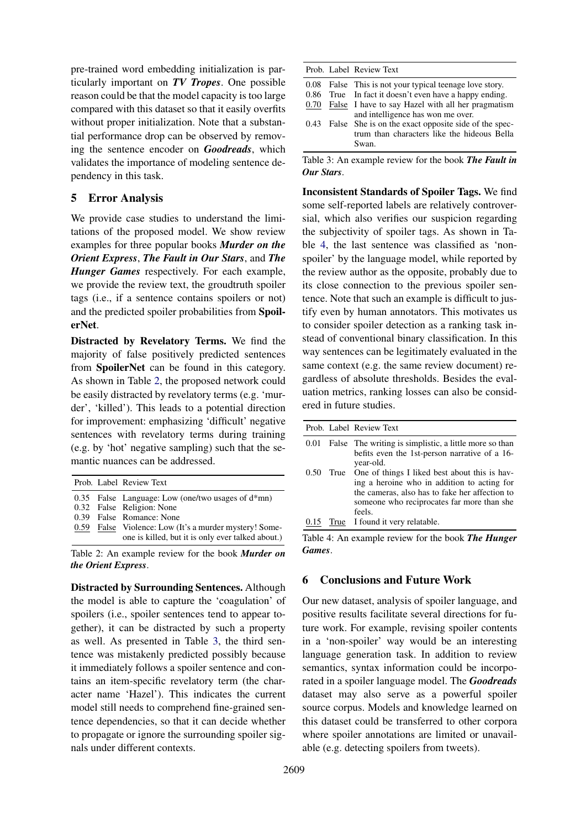pre-trained word embedding initialization is particularly important on *TV Tropes*. One possible reason could be that the model capacity is too large compared with this dataset so that it easily overfits without proper initialization. Note that a substantial performance drop can be observed by removing the sentence encoder on *Goodreads*, which validates the importance of modeling sentence dependency in this task.

### 5 Error Analysis

We provide case studies to understand the limitations of the proposed model. We show review examples for three popular books *Murder on the Orient Express*, *The Fault in Our Stars*, and *The Hunger Games* respectively. For each example, we provide the review text, the groudtruth spoiler tags (i.e., if a sentence contains spoilers or not) and the predicted spoiler probabilities from SpoilerNet.

Distracted by Revelatory Terms. We find the majority of false positively predicted sentences from SpoilerNet can be found in this category. As shown in Table [2,](#page-4-0) the proposed network could be easily distracted by revelatory terms (e.g. 'murder', 'killed'). This leads to a potential direction for improvement: emphasizing 'difficult' negative sentences with revelatory terms during training (e.g. by 'hot' negative sampling) such that the semantic nuances can be addressed.

<span id="page-4-0"></span>

|  | Prob. Label Review Text                                                                                                                                                                                                      |
|--|------------------------------------------------------------------------------------------------------------------------------------------------------------------------------------------------------------------------------|
|  | 0.35 False Language: Low (one/two usages of $d*mn$ )<br>0.32 False Religion: None<br>0.39 False Romance: None<br>0.59 False Violence: Low (It's a murder mystery! Some-<br>one is killed, but it is only ever talked about.) |
|  |                                                                                                                                                                                                                              |

Table 2: An example review for the book *Murder on the Orient Express*.

Distracted by Surrounding Sentences. Although the model is able to capture the 'coagulation' of spoilers (i.e., spoiler sentences tend to appear together), it can be distracted by such a property as well. As presented in Table [3,](#page-4-1) the third sentence was mistakenly predicted possibly because it immediately follows a spoiler sentence and contains an item-specific revelatory term (the character name 'Hazel'). This indicates the current model still needs to comprehend fine-grained sentence dependencies, so that it can decide whether to propagate or ignore the surrounding spoiler signals under different contexts.

<span id="page-4-1"></span>

|  | Prob. Label Review Text                                                                                                                                  |
|--|----------------------------------------------------------------------------------------------------------------------------------------------------------|
|  | 0.08 False This is not your typical teenage love story.<br>0.86 True In fact it doesn't even have a happy ending.                                        |
|  | 0.70 False I have to say Hazel with all her pragmatism<br>and intelligence has won me over.<br>0.43 False She is on the exact opposite side of the spec- |
|  | trum than characters like the hideous Bella<br>Swan.                                                                                                     |

Table 3: An example review for the book *The Fault in Our Stars*.

Inconsistent Standards of Spoiler Tags. We find some self-reported labels are relatively controversial, which also verifies our suspicion regarding the subjectivity of spoiler tags. As shown in Table [4,](#page-4-2) the last sentence was classified as 'nonspoiler' by the language model, while reported by the review author as the opposite, probably due to its close connection to the previous spoiler sentence. Note that such an example is difficult to justify even by human annotators. This motivates us to consider spoiler detection as a ranking task instead of conventional binary classification. In this way sentences can be legitimately evaluated in the same context (e.g. the same review document) regardless of absolute thresholds. Besides the evaluation metrics, ranking losses can also be considered in future studies.

<span id="page-4-2"></span>

|      | Prob. Label Review Text                                                                                                                                                                                     |
|------|-------------------------------------------------------------------------------------------------------------------------------------------------------------------------------------------------------------|
| 0.01 | False The writing is simplistic, a little more so than<br>befits even the 1st-person narrative of a 16-<br>year-old.                                                                                        |
| 0.50 | True One of things I liked best about this is hav-<br>ing a heroine who in addition to acting for<br>the cameras, also has to fake her affection to<br>someone who reciprocates far more than she<br>feels. |
| 0.15 | True I found it very relatable.                                                                                                                                                                             |

Table 4: An example review for the book *The Hunger Games*.

### 6 Conclusions and Future Work

Our new dataset, analysis of spoiler language, and positive results facilitate several directions for future work. For example, revising spoiler contents in a 'non-spoiler' way would be an interesting language generation task. In addition to review semantics, syntax information could be incorporated in a spoiler language model. The *Goodreads* dataset may also serve as a powerful spoiler source corpus. Models and knowledge learned on this dataset could be transferred to other corpora where spoiler annotations are limited or unavailable (e.g. detecting spoilers from tweets).